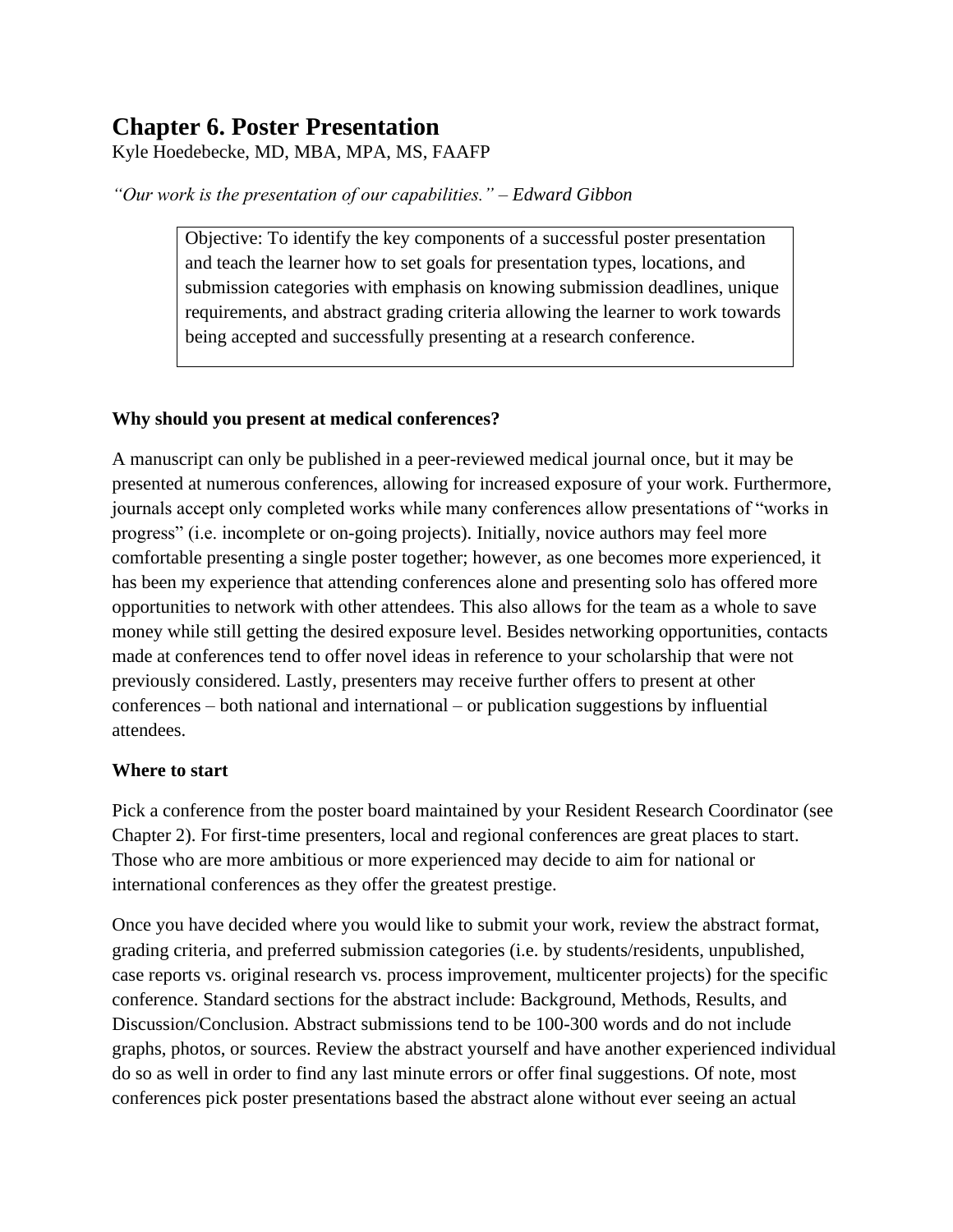# **Chapter 6. Poster Presentation**

Kyle Hoedebecke, MD, MBA, MPA, MS, FAAFP

*"Our work is the presentation of our capabilities." – Edward Gibbon*

Objective: To identify the key components of a successful poster presentation and teach the learner how to set goals for presentation types, locations, and submission categories with emphasis on knowing submission deadlines, unique requirements, and abstract grading criteria allowing the learner to work towards being accepted and successfully presenting at a research conference.

### **Why should you present at medical conferences?**

A manuscript can only be published in a peer-reviewed medical journal once, but it may be presented at numerous conferences, allowing for increased exposure of your work. Furthermore, journals accept only completed works while many conferences allow presentations of "works in progress" (i.e. incomplete or on-going projects). Initially, novice authors may feel more comfortable presenting a single poster together; however, as one becomes more experienced, it has been my experience that attending conferences alone and presenting solo has offered more opportunities to network with other attendees. This also allows for the team as a whole to save money while still getting the desired exposure level. Besides networking opportunities, contacts made at conferences tend to offer novel ideas in reference to your scholarship that were not previously considered. Lastly, presenters may receive further offers to present at other conferences – both national and international – or publication suggestions by influential attendees.

## **Where to start**

Pick a conference from the poster board maintained by your Resident Research Coordinator (see Chapter 2). For first-time presenters, local and regional conferences are great places to start. Those who are more ambitious or more experienced may decide to aim for national or international conferences as they offer the greatest prestige.

Once you have decided where you would like to submit your work, review the abstract format, grading criteria, and preferred submission categories (i.e. by students/residents, unpublished, case reports vs. original research vs. process improvement, multicenter projects) for the specific conference. Standard sections for the abstract include: Background, Methods, Results, and Discussion/Conclusion. Abstract submissions tend to be 100-300 words and do not include graphs, photos, or sources. Review the abstract yourself and have another experienced individual do so as well in order to find any last minute errors or offer final suggestions. Of note, most conferences pick poster presentations based the abstract alone without ever seeing an actual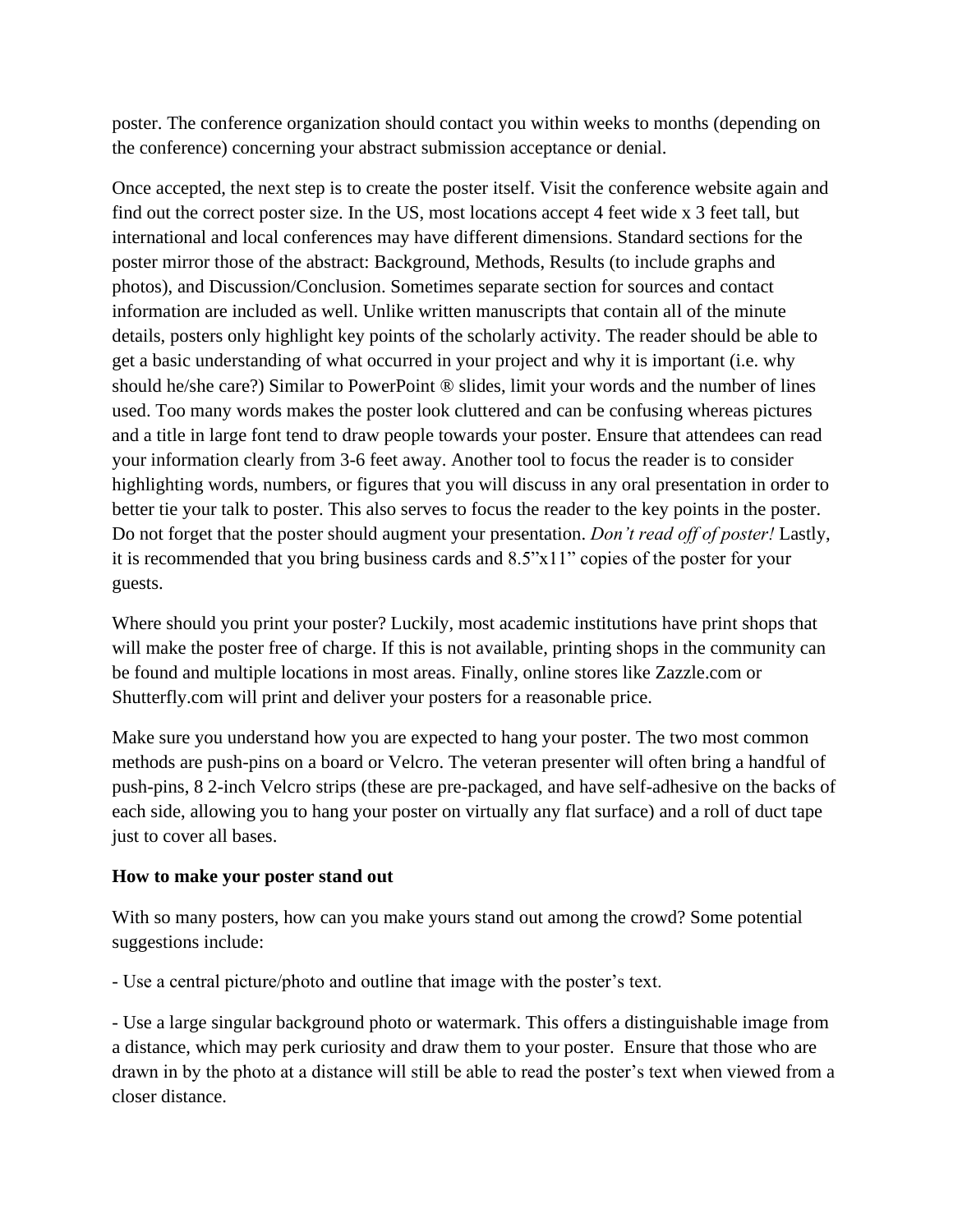poster. The conference organization should contact you within weeks to months (depending on the conference) concerning your abstract submission acceptance or denial.

Once accepted, the next step is to create the poster itself. Visit the conference website again and find out the correct poster size. In the US, most locations accept 4 feet wide x 3 feet tall, but international and local conferences may have different dimensions. Standard sections for the poster mirror those of the abstract: Background, Methods, Results (to include graphs and photos), and Discussion/Conclusion. Sometimes separate section for sources and contact information are included as well. Unlike written manuscripts that contain all of the minute details, posters only highlight key points of the scholarly activity. The reader should be able to get a basic understanding of what occurred in your project and why it is important (i.e. why should he/she care?) Similar to PowerPoint ® slides, limit your words and the number of lines used. Too many words makes the poster look cluttered and can be confusing whereas pictures and a title in large font tend to draw people towards your poster. Ensure that attendees can read your information clearly from 3-6 feet away. Another tool to focus the reader is to consider highlighting words, numbers, or figures that you will discuss in any oral presentation in order to better tie your talk to poster. This also serves to focus the reader to the key points in the poster. Do not forget that the poster should augment your presentation. *Don't read off of poster!* Lastly, it is recommended that you bring business cards and 8.5"x11" copies of the poster for your guests.

Where should you print your poster? Luckily, most academic institutions have print shops that will make the poster free of charge. If this is not available, printing shops in the community can be found and multiple locations in most areas. Finally, online stores like Zazzle.com or Shutterfly.com will print and deliver your posters for a reasonable price.

Make sure you understand how you are expected to hang your poster. The two most common methods are push-pins on a board or Velcro. The veteran presenter will often bring a handful of push-pins, 8 2-inch Velcro strips (these are pre-packaged, and have self-adhesive on the backs of each side, allowing you to hang your poster on virtually any flat surface) and a roll of duct tape just to cover all bases.

#### **How to make your poster stand out**

With so many posters, how can you make yours stand out among the crowd? Some potential suggestions include:

- Use a central picture/photo and outline that image with the poster's text.

- Use a large singular background photo or watermark. This offers a distinguishable image from a distance, which may perk curiosity and draw them to your poster. Ensure that those who are drawn in by the photo at a distance will still be able to read the poster's text when viewed from a closer distance.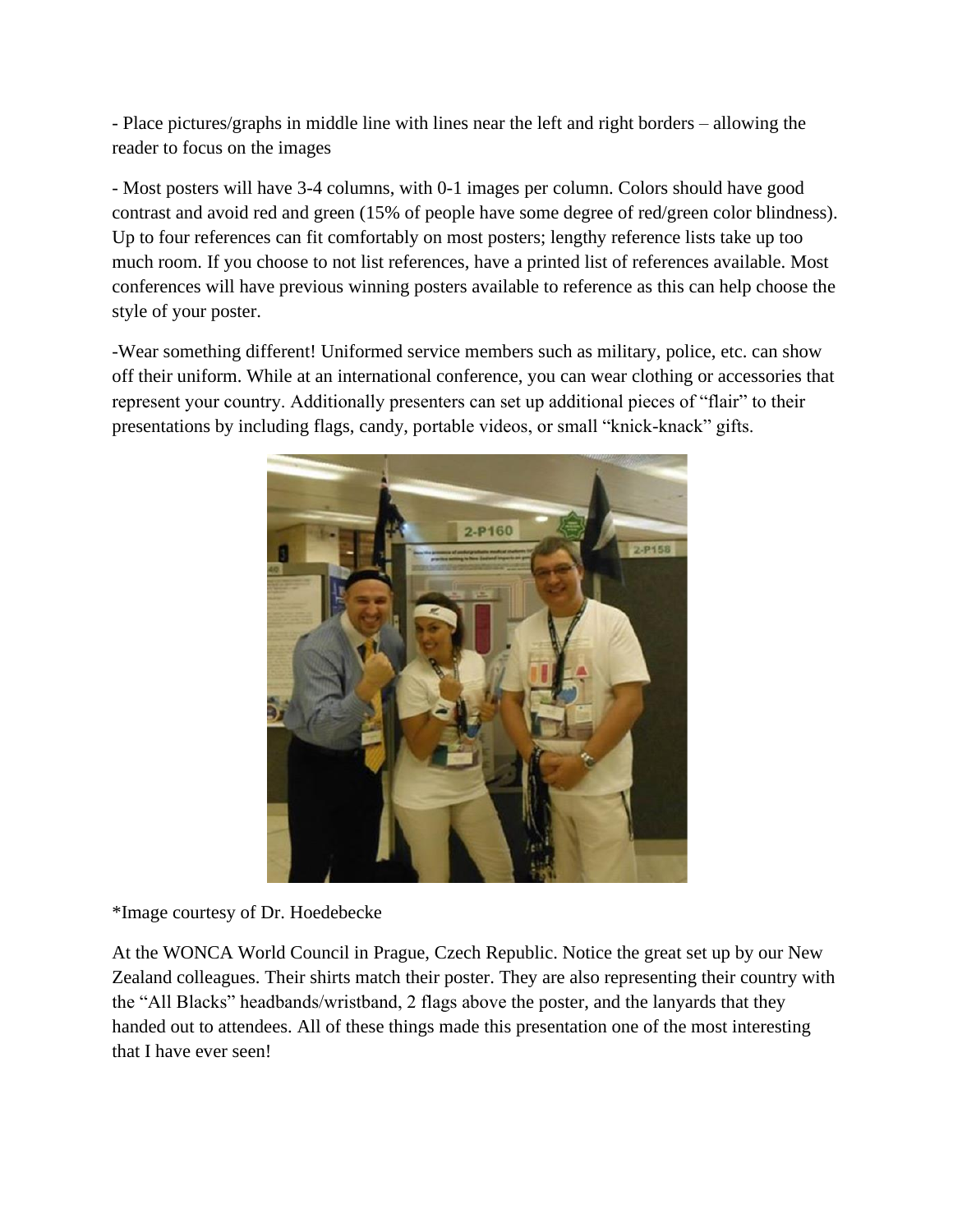- Place pictures/graphs in middle line with lines near the left and right borders – allowing the reader to focus on the images

- Most posters will have 3-4 columns, with 0-1 images per column. Colors should have good contrast and avoid red and green (15% of people have some degree of red/green color blindness). Up to four references can fit comfortably on most posters; lengthy reference lists take up too much room. If you choose to not list references, have a printed list of references available. Most conferences will have previous winning posters available to reference as this can help choose the style of your poster.

-Wear something different! Uniformed service members such as military, police, etc. can show off their uniform. While at an international conference, you can wear clothing or accessories that represent your country. Additionally presenters can set up additional pieces of "flair" to their presentations by including flags, candy, portable videos, or small "knick-knack" gifts.



\*Image courtesy of Dr. Hoedebecke

At the WONCA World Council in Prague, Czech Republic. Notice the great set up by our New Zealand colleagues. Their shirts match their poster. They are also representing their country with the "All Blacks" headbands/wristband, 2 flags above the poster, and the lanyards that they handed out to attendees. All of these things made this presentation one of the most interesting that I have ever seen!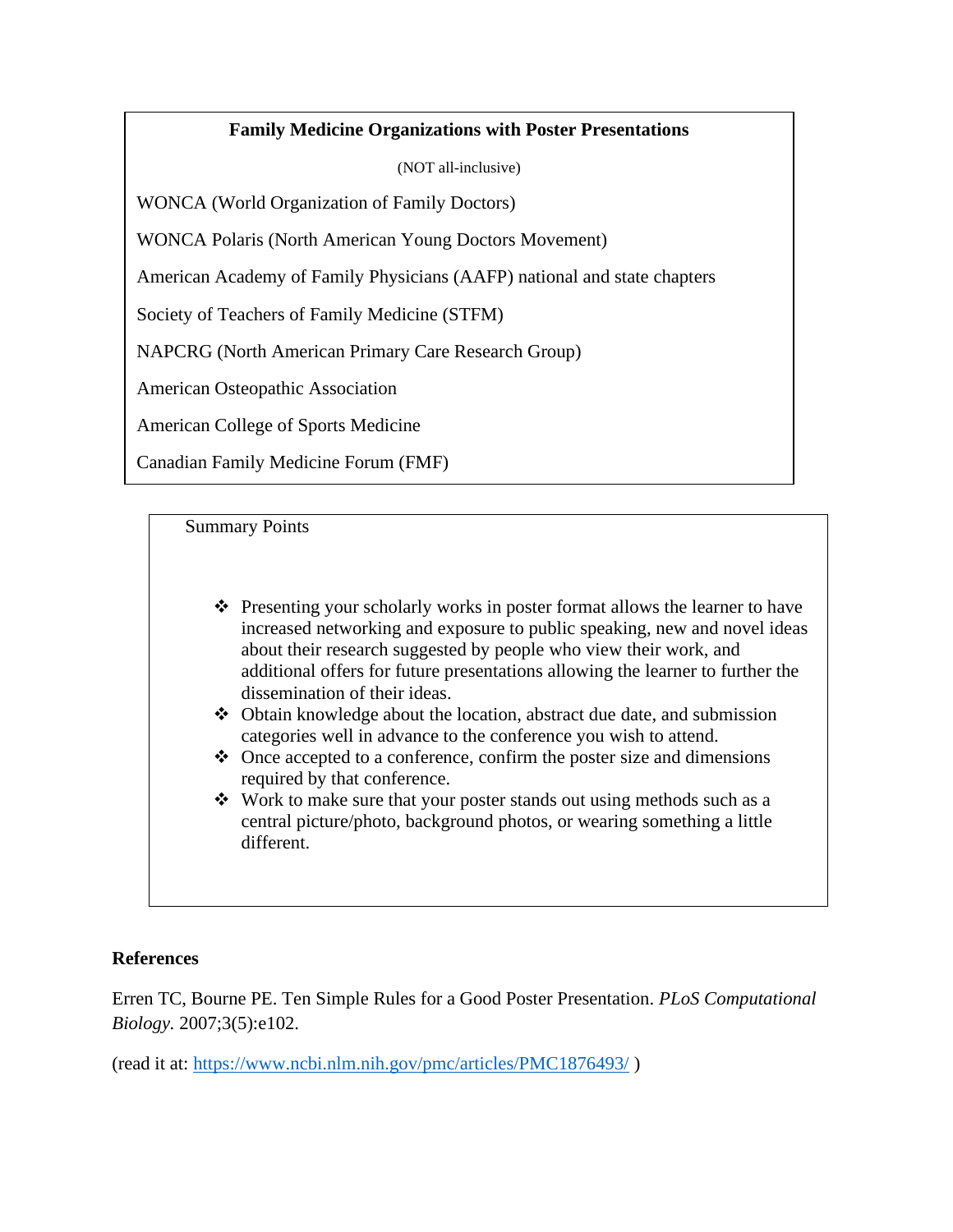#### **Family Medicine Organizations with Poster Presentations**

(NOT all-inclusive)

WONCA (World Organization of Family Doctors)

WONCA Polaris (North American Young Doctors Movement)

American Academy of Family Physicians (AAFP) national and state chapters

Society of Teachers of Family Medicine (STFM)

NAPCRG (North American Primary Care Research Group)

American Osteopathic Association

American College of Sports Medicine

Canadian Family Medicine Forum (FMF)

Summary Points

- ❖ Presenting your scholarly works in poster format allows the learner to have increased networking and exposure to public speaking, new and novel ideas about their research suggested by people who view their work, and additional offers for future presentations allowing the learner to further the dissemination of their ideas.
- ❖ Obtain knowledge about the location, abstract due date, and submission categories well in advance to the conference you wish to attend.
- ❖ Once accepted to a conference, confirm the poster size and dimensions required by that conference.
- ❖ Work to make sure that your poster stands out using methods such as a central picture/photo, background photos, or wearing something a little different.

#### **References**

Erren TC, Bourne PE. Ten Simple Rules for a Good Poster Presentation. *PLoS Computational Biology.* 2007;3(5):e102.

(read it at:<https://www.ncbi.nlm.nih.gov/pmc/articles/PMC1876493/> )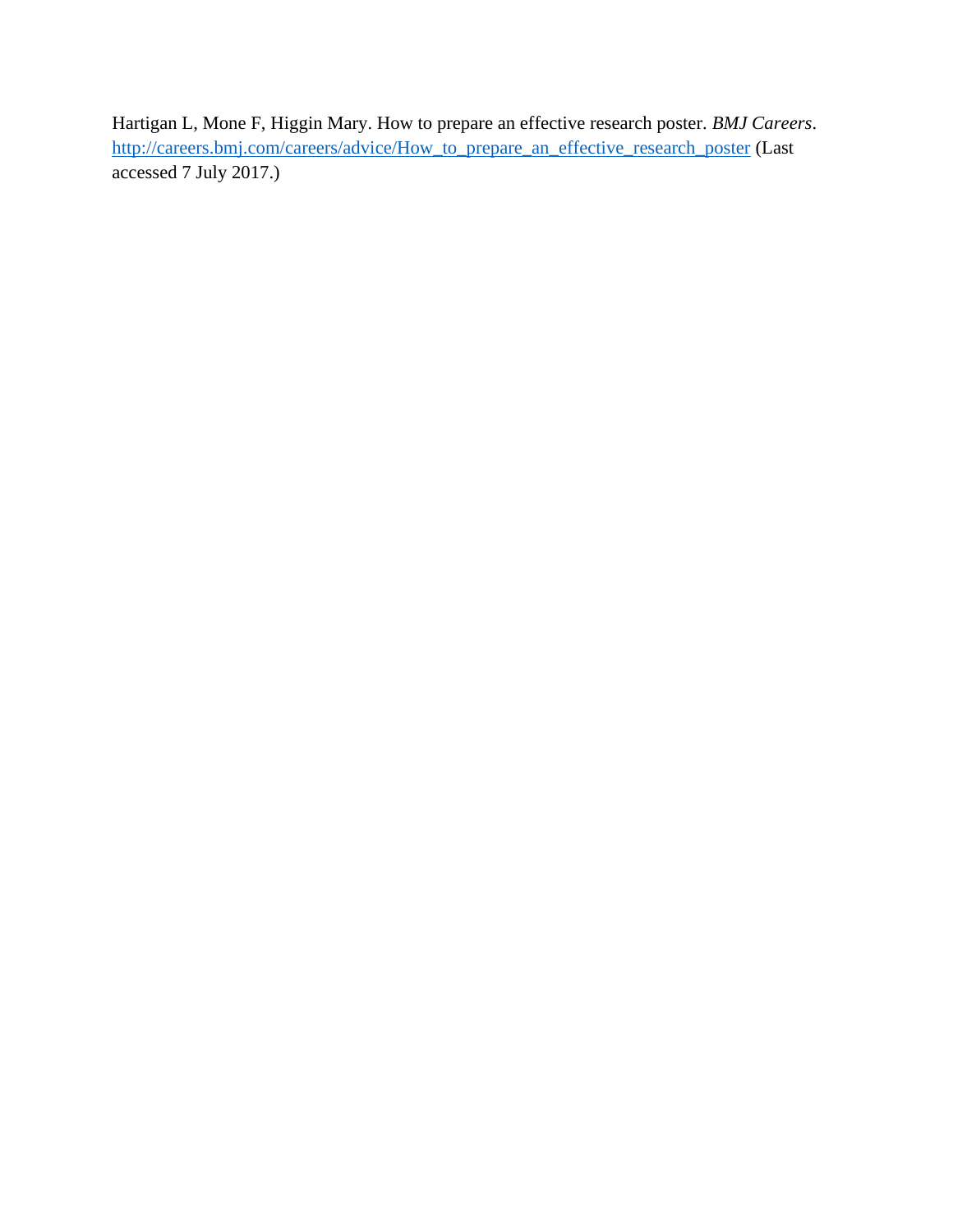Hartigan L, Mone F, Higgin Mary. How to prepare an effective research poster. *BMJ Careers*. [http://careers.bmj.com/careers/advice/How\\_to\\_prepare\\_an\\_effective\\_research\\_poster](http://careers.bmj.com/careers/advice/How_to_prepare_an_effective_research_poster) (Last accessed 7 July 2017.)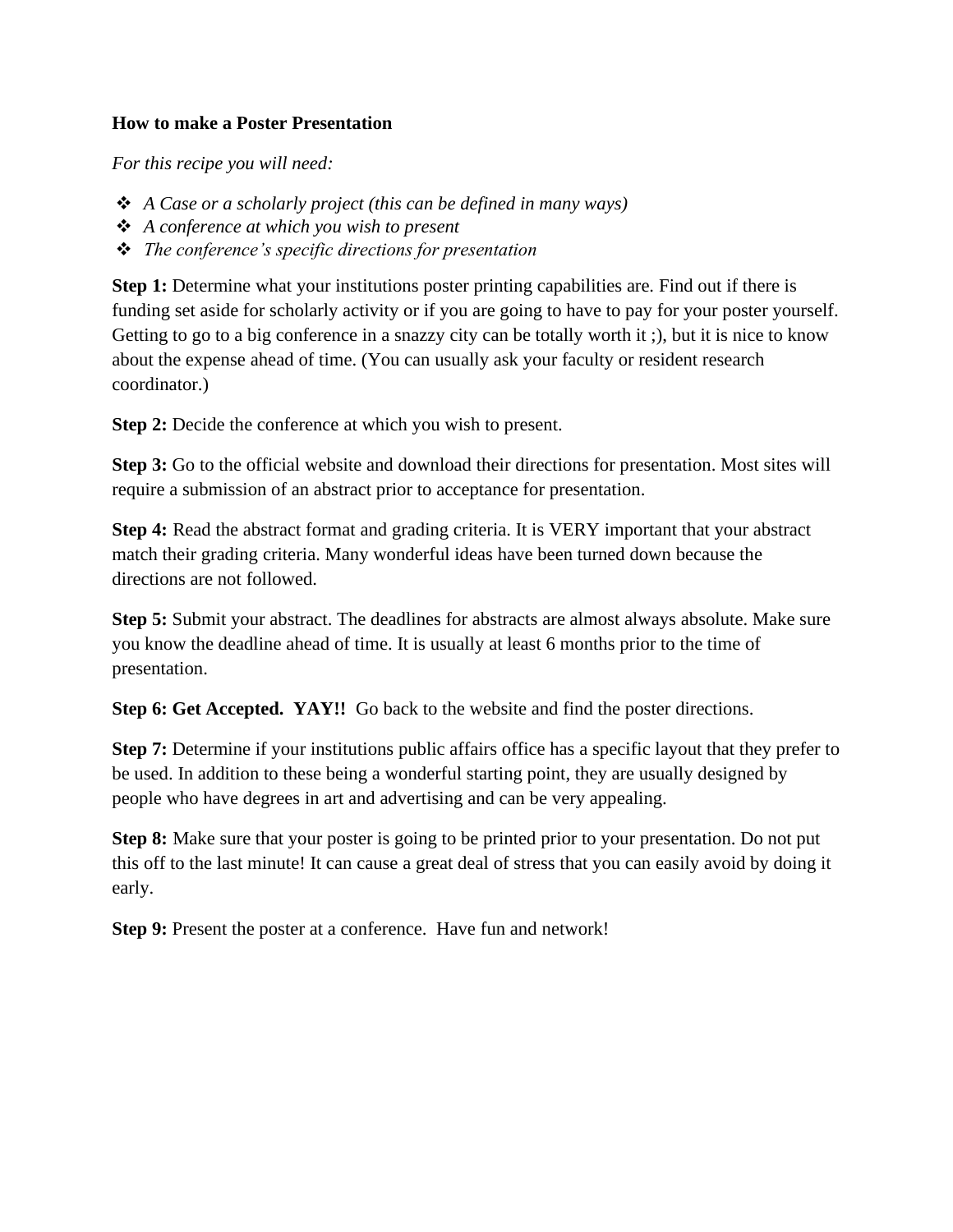#### **How to make a Poster Presentation**

*For this recipe you will need:*

- ❖ *A Case or a scholarly project (this can be defined in many ways)*
- ❖ *A conference at which you wish to present*
- ❖ *The conference's specific directions for presentation*

**Step 1:** Determine what your institutions poster printing capabilities are. Find out if there is funding set aside for scholarly activity or if you are going to have to pay for your poster yourself. Getting to go to a big conference in a snazzy city can be totally worth it; ), but it is nice to know about the expense ahead of time. (You can usually ask your faculty or resident research coordinator.)

**Step 2:** Decide the conference at which you wish to present.

**Step 3:** Go to the official website and download their directions for presentation. Most sites will require a submission of an abstract prior to acceptance for presentation.

**Step 4:** Read the abstract format and grading criteria. It is VERY important that your abstract match their grading criteria. Many wonderful ideas have been turned down because the directions are not followed.

**Step 5:** Submit your abstract. The deadlines for abstracts are almost always absolute. Make sure you know the deadline ahead of time. It is usually at least 6 months prior to the time of presentation.

**Step 6: Get Accepted. YAY!!** Go back to the website and find the poster directions.

**Step 7:** Determine if your institutions public affairs office has a specific layout that they prefer to be used. In addition to these being a wonderful starting point, they are usually designed by people who have degrees in art and advertising and can be very appealing.

**Step 8:** Make sure that your poster is going to be printed prior to your presentation. Do not put this off to the last minute! It can cause a great deal of stress that you can easily avoid by doing it early.

**Step 9:** Present the poster at a conference. Have fun and network!